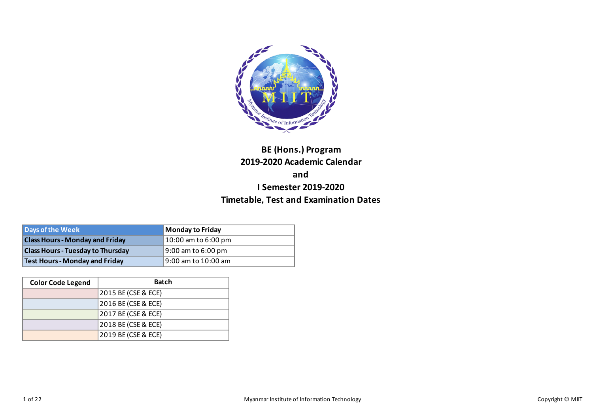

# **BE (Hons.) Program 2019-2020 Academic Calendar and I Semester 2019-2020 Timetable, Test and Examination Dates**

| Days of the Week                         | <b>Monday to Friday</b> |
|------------------------------------------|-------------------------|
| <b>Class Hours - Monday and Friday</b>   | 10:00 am to 6:00 pm     |
| <b>Class Hours - Tuesday to Thursday</b> | $9:00$ am to 6:00 pm    |
| <b>Test Hours - Monday and Friday</b>    | 19:00 am to 10:00 am    |

| <b>Color Code Legend</b> | <b>Batch</b>        |
|--------------------------|---------------------|
|                          | 2015 BE (CSE & ECE) |
|                          | 2016 BE (CSE & ECE) |
|                          | 2017 BE (CSE & ECE) |
|                          | 2018 BE (CSE & ECE) |
|                          | 2019 BE (CSE & ECE) |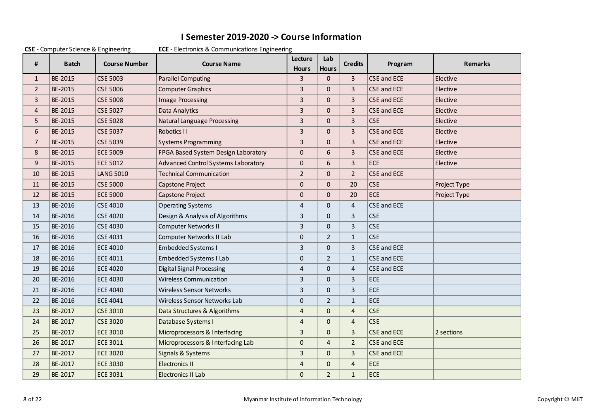## **I Semester 2019-2020 -> Course Information**

|                | $C$ - Computer Science & Engineering |                      | <b>ECE</b> - Electronics & Communications Engineemig |                         |                     |                |                    |                |
|----------------|--------------------------------------|----------------------|------------------------------------------------------|-------------------------|---------------------|----------------|--------------------|----------------|
| #              | <b>Batch</b>                         | <b>Course Number</b> | <b>Course Name</b>                                   | Lecture<br><b>Hours</b> | Lab<br><b>Hours</b> | <b>Credits</b> | Program            | <b>Remarks</b> |
| $\mathbf{1}$   | BE-2015                              | <b>CSE 5003</b>      | <b>Parallel Computing</b>                            | $\overline{3}$          | $\Omega$            | $\overline{3}$ | <b>CSE and ECE</b> | Elective       |
| $\overline{2}$ | BE-2015                              | <b>CSE 5006</b>      | <b>Computer Graphics</b>                             | $\overline{3}$          | $\Omega$            | 3              | <b>CSE and ECE</b> | Elective       |
| 3              | BE-2015                              | <b>CSE 5008</b>      | <b>Image Processing</b>                              | 3                       | $\mathbf{0}$        | 3              | CSE and ECE        | Elective       |
| 4              | BE-2015                              | <b>CSE 5027</b>      | Data Analytics                                       | 3                       | $\Omega$            | $\overline{3}$ | CSE and ECE        | Elective       |
| 5              | BE-2015                              | <b>CSE 5028</b>      | <b>Natural Language Processing</b>                   | 3                       | $\mathbf{0}$        | 3              | <b>CSE</b>         | Elective       |
| 6              | BE-2015                              | <b>CSE 5037</b>      | Robotics II                                          | 3                       | $\mathbf{0}$        | 3              | CSE and ECE        | Elective       |
| $7^{\circ}$    | BE-2015                              | <b>CSE 5039</b>      | <b>Systems Programming</b>                           | $\overline{3}$          | $\Omega$            | $\overline{3}$ | <b>CSE and ECE</b> | Elective       |
| 8              | BE-2015                              | <b>ECE 5009</b>      | FPGA Based System Design Laboratory                  | $\mathbf{0}$            | 6                   | 3              | CSE and ECE        | Elective       |
| 9              | BE-2015                              | <b>ECE 5012</b>      | Advanced Control Systems Laboratory                  | $\Omega$                | 6                   | 3              | ECE                | Elective       |
| 10             | BE-2015                              | <b>LANG 5010</b>     | <b>Technical Communication</b>                       | $\overline{2}$          | $\mathbf{0}$        | $\overline{2}$ | <b>CSE and ECE</b> |                |
| 11             | BE-2015                              | <b>CSE 5000</b>      | Capstone Project                                     | $\mathbf{0}$            | $\mathbf{0}$        | 20             | <b>CSE</b>         | Project Type   |
| 12             | BE-2015                              | <b>ECE 5000</b>      | Capstone Project                                     | $\Omega$                | $\Omega$            | 20             | <b>ECE</b>         | Project Type   |
| 13             | BE-2016                              | <b>CSE 4010</b>      | <b>Operating Systems</b>                             | $\overline{4}$          | $\mathbf{0}$        | $\overline{4}$ | CSE and ECE        |                |
| 14             | BE-2016                              | <b>CSE 4020</b>      | Design & Analysis of Algorithms                      | 3                       | $\mathbf{0}$        | 3              | <b>CSE</b>         |                |
| 15             | BE-2016                              | <b>CSE 4030</b>      | <b>Computer Networks II</b>                          | 3                       | $\mathbf{0}$        | 3              | <b>CSE</b>         |                |
| 16             | BE-2016                              | <b>CSE 4031</b>      | Computer Networks II Lab                             | $\mathbf{0}$            | $\overline{2}$      | $\mathbf{1}$   | <b>CSE</b>         |                |
| 17             | BE-2016                              | <b>ECE 4010</b>      | <b>Embedded Systems I</b>                            | 3                       | $\mathbf{0}$        | 3              | CSE and ECE        |                |
| 18             | BE-2016                              | <b>ECE 4011</b>      | Embedded Systems I Lab                               | $\mathbf{0}$            | $\overline{2}$      | $\mathbf{1}$   | CSE and ECE        |                |
| 19             | BE-2016                              | <b>ECE 4020</b>      | <b>Digital Signal Processing</b>                     | $\overline{4}$          | $\mathbf{0}$        | $\overline{4}$ | CSE and ECE        |                |
| 20             | BE-2016                              | <b>ECE 4030</b>      | <b>Wireless Communication</b>                        | 3                       | $\mathbf{0}$        | 3              | <b>ECE</b>         |                |
| 21             | BE-2016                              | <b>ECE 4040</b>      | <b>Wireless Sensor Networks</b>                      | 3                       | $\mathbf{0}$        | 3              | <b>ECE</b>         |                |
| 22             | BE-2016                              | <b>ECE 4041</b>      | Wireless Sensor Networks Lab                         | $\mathbf{0}$            | $\overline{2}$      | $\mathbf 1$    | ECE                |                |
| 23             | BE-2017                              | <b>CSE 3010</b>      | Data Structures & Algorithms                         | $\overline{4}$          | $\Omega$            | 4              | <b>CSE</b>         |                |
| 24             | BE-2017                              | <b>CSE 3020</b>      | Database Systems I                                   | $\overline{4}$          | $\Omega$            | $\overline{4}$ | <b>CSE</b>         |                |
| 25             | BE-2017                              | <b>ECE 3010</b>      | Microprocessors & Interfacing                        | 3                       | $\mathbf{0}$        | 3              | <b>CSE and ECE</b> | 2 sections     |
| 26             | BE-2017                              | <b>ECE 3011</b>      | Microprocessors & Interfacing Lab                    | $\mathbf{0}$            | $\overline{4}$      | $\overline{2}$ | <b>CSE and ECE</b> |                |
| 27             | BE-2017                              | <b>ECE 3020</b>      | Signals & Systems                                    | $\overline{3}$          | $\mathbf{0}$        | 3              | <b>CSE and ECE</b> |                |
| 28             | BE-2017                              | <b>ECE 3030</b>      | <b>Electronics II</b>                                | 4                       | $\Omega$            | 4              | ECE                |                |
| 29             | BE-2017                              | <b>ECE 3031</b>      | <b>Electronics II Lab</b>                            | $\Omega$                | $\overline{2}$      | $\mathbf{1}$   | ECE                |                |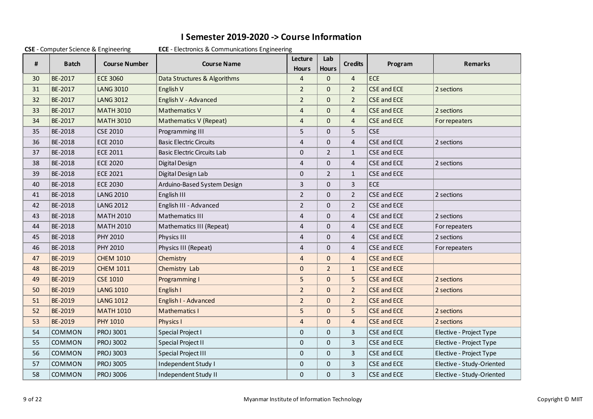## **I Semester 2019-2020 -> Course Information**

|    | COLL Computer Science & Engineering |                      | <b>LCL</b> - Lietuvines & Communications Lingineering |                         |                     |                |                    |                           |
|----|-------------------------------------|----------------------|-------------------------------------------------------|-------------------------|---------------------|----------------|--------------------|---------------------------|
| #  | <b>Batch</b>                        | <b>Course Number</b> | <b>Course Name</b>                                    | Lecture<br><b>Hours</b> | Lab<br><b>Hours</b> | <b>Credits</b> | Program            | <b>Remarks</b>            |
| 30 | BE-2017                             | <b>ECE 3060</b>      | Data Structures & Algorithms                          | $\overline{4}$          | $\Omega$            | $\overline{4}$ | ECE                |                           |
| 31 | BE-2017                             | <b>LANG 3010</b>     | English V                                             | $\overline{2}$          | $\mathbf{0}$        | $\overline{2}$ | <b>CSE and ECE</b> | 2 sections                |
| 32 | BE-2017                             | <b>LANG 3012</b>     | English V - Advanced                                  | $\overline{2}$          | $\Omega$            | $\overline{2}$ | <b>CSE and ECE</b> |                           |
| 33 | BE-2017                             | <b>MATH 3010</b>     | <b>Mathematics V</b>                                  | $\overline{4}$          | $\Omega$            | $\overline{4}$ | <b>CSE and ECE</b> | 2 sections                |
| 34 | BE-2017                             | <b>MATH 3010</b>     | Mathematics V (Repeat)                                | $\overline{4}$          | $\mathbf{0}$        | $\overline{4}$ | <b>CSE and ECE</b> | For repeaters             |
| 35 | BE-2018                             | <b>CSE 2010</b>      | Programming III                                       | 5                       | $\mathbf{0}$        | 5              | <b>CSE</b>         |                           |
| 36 | BE-2018                             | <b>ECE 2010</b>      | <b>Basic Electric Circuits</b>                        | 4                       | $\mathbf{0}$        | 4              | CSE and ECE        | 2 sections                |
| 37 | BE-2018                             | <b>ECE 2011</b>      | <b>Basic Electric Circuits Lab</b>                    | 0                       | $\overline{2}$      | $\mathbf{1}$   | CSE and ECE        |                           |
| 38 | BE-2018                             | <b>ECE 2020</b>      | Digital Design                                        | 4                       | $\mathbf{0}$        | $\overline{4}$ | CSE and ECE        | 2 sections                |
| 39 | BE-2018                             | <b>ECE 2021</b>      | Digital Design Lab                                    | 0                       | $\overline{2}$      | $\mathbf{1}$   | CSE and ECE        |                           |
| 40 | BE-2018                             | <b>ECE 2030</b>      | Arduino-Based System Design                           | 3                       | $\mathbf{0}$        | 3              | <b>ECE</b>         |                           |
| 41 | BE-2018                             | <b>LANG 2010</b>     | English III                                           | $\overline{2}$          | $\mathbf{0}$        | $\overline{2}$ | CSE and ECE        | 2 sections                |
| 42 | BE-2018                             | <b>LANG 2012</b>     | English III - Advanced                                | $\overline{2}$          | $\Omega$            | $\overline{2}$ | CSE and ECE        |                           |
| 43 | BE-2018                             | <b>MATH 2010</b>     | <b>Mathematics III</b>                                | $\overline{4}$          | $\Omega$            | $\overline{4}$ | CSE and ECE        | 2 sections                |
| 44 | BE-2018                             | <b>MATH 2010</b>     | Mathematics III (Repeat)                              | 4                       | $\mathbf{0}$        | 4              | CSE and ECE        | For repeaters             |
| 45 | BE-2018                             | PHY 2010             | Physics III                                           | $\overline{4}$          | $\mathbf{0}$        | $\overline{4}$ | CSE and ECE        | 2 sections                |
| 46 | BE-2018                             | PHY 2010             | Physics III (Repeat)                                  | 4                       | $\Omega$            | 4              | CSE and ECE        | For repeaters             |
| 47 | BE-2019                             | <b>CHEM 1010</b>     | Chemistry                                             | $\overline{4}$          | $\mathbf{0}$        | $\overline{4}$ | <b>CSE and ECE</b> |                           |
| 48 | BE-2019                             | <b>CHEM 1011</b>     | Chemistry Lab                                         | $\Omega$                | $\overline{2}$      | $\mathbf{1}$   | <b>CSE and ECE</b> |                           |
| 49 | BE-2019                             | <b>CSE 1010</b>      | Programming I                                         | 5                       | $\mathbf{0}$        | 5              | <b>CSE and ECE</b> | 2 sections                |
| 50 | BE-2019                             | <b>LANG 1010</b>     | English I                                             | $\overline{2}$          | $\Omega$            | $\overline{2}$ | <b>CSE and ECE</b> | 2 sections                |
| 51 | BE-2019                             | <b>LANG 1012</b>     | English I - Advanced                                  | $\overline{2}$          | $\mathbf{0}$        | $\overline{2}$ | <b>CSE and ECE</b> |                           |
| 52 | BE-2019                             | <b>MATH 1010</b>     | Mathematics I                                         | 5                       | $\Omega$            | 5              | <b>CSE and ECE</b> | 2 sections                |
| 53 | BE-2019                             | <b>PHY 1010</b>      | Physics I                                             | $\overline{4}$          | $\Omega$            | $\overline{4}$ | <b>CSE and ECE</b> | 2 sections                |
| 54 | <b>COMMON</b>                       | <b>PROJ 3001</b>     | Special Project I                                     | $\mathbf{0}$            | $\Omega$            | 3              | CSE and ECE        | Elective - Project Type   |
| 55 | COMMON                              | <b>PROJ 3002</b>     | Special Project II                                    | $\mathbf{0}$            | $\mathbf{0}$        | 3              | CSE and ECE        | Elective - Project Type   |
| 56 | COMMON                              | PROJ 3003            | <b>Special Project III</b>                            | $\mathbf{0}$            | $\mathbf{0}$        | 3              | CSE and ECE        | Elective - Project Type   |
| 57 | COMMON                              | <b>PROJ 3005</b>     | Independent Study I                                   | 0                       | 0                   | 3              | CSE and ECE        | Elective - Study-Oriented |
| 58 | <b>COMMON</b>                       | <b>PROJ 3006</b>     | <b>Independent Study II</b>                           | $\Omega$                | $\Omega$            | 3              | CSE and ECE        | Elective - Study-Oriented |

#### **CSE** - Computer Science & Engineering **ECE** - Electronics & Communications Engineering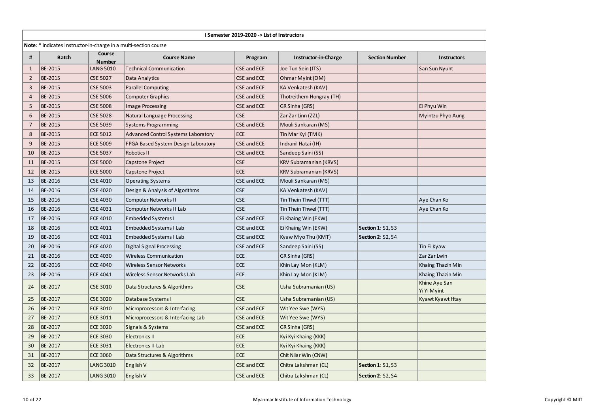|                |                                                                  |                         |                                            | I Semester 2019-2020 -> List of Instructors |                               |                          |                              |
|----------------|------------------------------------------------------------------|-------------------------|--------------------------------------------|---------------------------------------------|-------------------------------|--------------------------|------------------------------|
|                | Note: * indicates Instructor-in-charge in a multi-section course |                         |                                            |                                             |                               |                          |                              |
| #              | <b>Batch</b>                                                     | Course<br><b>Number</b> | <b>Course Name</b>                         | Program                                     | Instructor-in-Charge          | <b>Section Number</b>    | <b>Instructors</b>           |
| $\mathbf{1}$   | BE-2015                                                          | <b>LANG 5010</b>        | <b>Technical Communication</b>             | CSE and ECE                                 | Joe Tun Sein (JTS)            |                          | San Sun Nyunt                |
| $\overline{2}$ | BE-2015                                                          | <b>CSE 5027</b>         | Data Analytics                             | CSE and ECE                                 | Ohmar Myint (OM)              |                          |                              |
| 3              | BE-2015                                                          | <b>CSE 5003</b>         | <b>Parallel Computing</b>                  | CSE and ECE                                 | KA Venkatesh (KAV)            |                          |                              |
| $\overline{4}$ | BE-2015                                                          | <b>CSE 5006</b>         | <b>Computer Graphics</b>                   | CSE and ECE                                 | Thotreithem Hongray (TH)      |                          |                              |
| 5              | BE-2015                                                          | <b>CSE 5008</b>         | <b>Image Processing</b>                    | <b>CSE and ECE</b>                          | GR Sinha (GRS)                |                          | Ei Phyu Win                  |
| 6              | BE-2015                                                          | <b>CSE 5028</b>         | <b>Natural Language Processing</b>         | CSE                                         | Zar Zar Linn (ZZL)            |                          | Myintzu Phyo Aung            |
| $\overline{7}$ | BE-2015                                                          | <b>CSE 5039</b>         | <b>Systems Programming</b>                 | CSE and ECE                                 | Mouli Sankaran (MS)           |                          |                              |
| 8              | BE-2015                                                          | <b>ECE 5012</b>         | <b>Advanced Control Systems Laboratory</b> | <b>ECE</b>                                  | Tin Mar Kyi (TMK)             |                          |                              |
| 9              | BE-2015                                                          | <b>ECE 5009</b>         | FPGA Based System Design Laboratory        | CSE and ECE                                 | Indranil Hatai (IH)           |                          |                              |
| 10             | BE-2015                                                          | <b>CSE 5037</b>         | Robotics II                                | CSE and ECE                                 | Sandeep Saini (SS)            |                          |                              |
| 11             | BE-2015                                                          | <b>CSE 5000</b>         | Capstone Project                           | <b>CSE</b>                                  | KRV Subramanian (KRVS)        |                          |                              |
| 12             | BE-2015                                                          | <b>ECE 5000</b>         | Capstone Project                           | <b>ECE</b>                                  | <b>KRV Subramanian (KRVS)</b> |                          |                              |
| 13             | BE-2016                                                          | <b>CSE 4010</b>         | <b>Operating Systems</b>                   | CSE and ECE                                 | Mouli Sankaran (MS)           |                          |                              |
| 14             | BE-2016                                                          | <b>CSE 4020</b>         | Design & Analysis of Algorithms            | CSE                                         | KA Venkatesh (KAV)            |                          |                              |
| 15             | BE-2016                                                          | <b>CSE 4030</b>         | <b>Computer Networks II</b>                | CSE                                         | Tin Thein Thwel (TTT)         |                          | Aye Chan Ko                  |
| 16             | BE-2016                                                          | <b>CSE 4031</b>         | Computer Networks II Lab                   | CSE                                         | Tin Thein Thwel (TTT)         |                          | Aye Chan Ko                  |
| 17             | BE-2016                                                          | <b>ECE 4010</b>         | <b>Embedded Systems I</b>                  | CSE and ECE                                 | Ei Khaing Win (EKW)           |                          |                              |
| 18             | BE-2016                                                          | <b>ECE 4011</b>         | Embedded Systems I Lab                     | CSE and ECE                                 | Ei Khaing Win (EKW)           | <b>Section 1: S1, S3</b> |                              |
| 19             | BE-2016                                                          | ECE 4011                | Embedded Systems I Lab                     | CSE and ECE                                 | Kyaw Myo Thu (KMT)            | <b>Section 2: S2, S4</b> |                              |
| 20             | BE-2016                                                          | <b>ECE 4020</b>         | Digital Signal Processing                  | CSE and ECE                                 | Sandeep Saini (SS)            |                          | Tin Ei Kyaw                  |
| 21             | BE-2016                                                          | <b>ECE 4030</b>         | <b>Wireless Communication</b>              | ECE                                         | GR Sinha (GRS)                |                          | Zar Zar Lwin                 |
| 22             | BE-2016                                                          | <b>ECE 4040</b>         | <b>Wireless Sensor Networks</b>            | ECE                                         | Khin Lay Mon (KLM)            |                          | Khaing Thazin Min            |
| 23             | BE-2016                                                          | ECE 4041                | Wireless Sensor Networks Lab               | ECE                                         | Khin Lay Mon (KLM)            |                          | Khaing Thazin Min            |
| 24             | BE-2017                                                          | <b>CSE 3010</b>         | Data Structures & Algorithms               | <b>CSE</b>                                  | Usha Subramanian (US)         |                          | Khine Aye San<br>Yi Yi Myint |
| 25             | BE-2017                                                          | <b>CSE 3020</b>         | Database Systems I                         | <b>CSE</b>                                  | Usha Subramanian (US)         |                          | Kyawt Kyawt Htay             |
| 26             | BE-2017                                                          | <b>ECE 3010</b>         | Microprocessors & Interfacing              | CSE and ECE                                 | Wit Yee Swe (WYS)             |                          |                              |
| 27             | BE-2017                                                          | <b>ECE 3011</b>         | Microprocessors & Interfacing Lab          | <b>CSE and ECE</b>                          | Wit Yee Swe (WYS)             |                          |                              |
| 28             | BE-2017                                                          | <b>ECE 3020</b>         | Signals & Systems                          | <b>CSE and ECE</b>                          | GR Sinha (GRS)                |                          |                              |
| 29             | BE-2017                                                          | <b>ECE 3030</b>         | <b>Electronics II</b>                      | <b>ECE</b>                                  | Kyi Kyi Khaing (KKK)          |                          |                              |
| 30             | BE-2017                                                          | <b>ECE 3031</b>         | <b>Electronics II Lab</b>                  | <b>ECE</b>                                  | Kyi Kyi Khaing (KKK)          |                          |                              |
| 31             | BE-2017                                                          | <b>ECE 3060</b>         | Data Structures & Algorithms               | <b>ECE</b>                                  | Chit Nilar Win (CNW)          |                          |                              |
| 32             | BE-2017                                                          | <b>LANG 3010</b>        | English V                                  | CSE and ECE                                 | Chitra Lakshman (CL)          | <b>Section 1: S1, S3</b> |                              |
| 33             | BE-2017                                                          | <b>LANG 3010</b>        | English V                                  | CSE and ECE                                 | Chitra Lakshman (CL)          | <b>Section 2: S2, S4</b> |                              |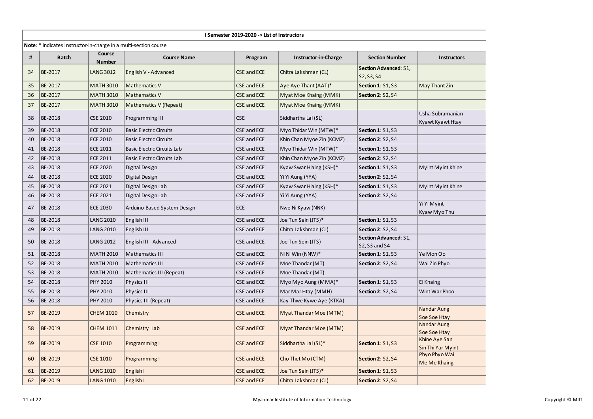|    |                                                                         |                         |                                    | I Semester 2019-2020 -> List of Instructors |                           |                                            |                                      |
|----|-------------------------------------------------------------------------|-------------------------|------------------------------------|---------------------------------------------|---------------------------|--------------------------------------------|--------------------------------------|
|    | <b>Note:</b> * indicates Instructor-in-charge in a multi-section course |                         |                                    |                                             |                           |                                            |                                      |
| #  | <b>Batch</b>                                                            | Course<br><b>Number</b> | <b>Course Name</b>                 | Program                                     | Instructor-in-Charge      | <b>Section Number</b>                      | <b>Instructors</b>                   |
| 34 | BE-2017                                                                 | <b>LANG 3012</b>        | English V - Advanced               | <b>CSE and ECE</b>                          | Chitra Lakshman (CL)      | <b>Section Advanced: S1,</b><br>S2, S3, S4 |                                      |
| 35 | BE-2017                                                                 | <b>MATH 3010</b>        | <b>Mathematics V</b>               | <b>CSE and ECE</b>                          | Aye Aye Thant (AAT)*      | <b>Section 1: S1, S3</b>                   | May Thant Zin                        |
| 36 | BE-2017                                                                 | <b>MATH 3010</b>        | Mathematics V                      | <b>CSE and ECE</b>                          | Myat Moe Khaing (MMK)     | <b>Section 2: S2, S4</b>                   |                                      |
| 37 | BE-2017                                                                 | <b>MATH 3010</b>        | Mathematics V (Repeat)             | <b>CSE and ECE</b>                          | Myat Moe Khaing (MMK)     |                                            |                                      |
| 38 | BE-2018                                                                 | <b>CSE 2010</b>         | Programming III                    | <b>CSE</b>                                  | Siddhartha Lal (SL)       |                                            | Usha Subramanian<br>Kyawt Kyawt Htay |
| 39 | BE-2018                                                                 | <b>ECE 2010</b>         | <b>Basic Electric Circuits</b>     | CSE and ECE                                 | Myo Thidar Win (MTW)*     | <b>Section 1: S1, S3</b>                   |                                      |
| 40 | BE-2018                                                                 | <b>ECE 2010</b>         | <b>Basic Electric Circuits</b>     | CSE and ECE                                 | Khin Chan Myoe Zin (KCMZ) | <b>Section 2: S2, S4</b>                   |                                      |
| 41 | BE-2018                                                                 | <b>ECE 2011</b>         | <b>Basic Electric Circuits Lab</b> | CSE and ECE                                 | Myo Thidar Win (MTW)*     | <b>Section 1: S1, S3</b>                   |                                      |
| 42 | BE-2018                                                                 | <b>ECE 2011</b>         | Basic Electric Circuits Lab        | CSE and ECE                                 | Khin Chan Myoe Zin (KCMZ) | <b>Section 2: S2, S4</b>                   |                                      |
| 43 | BE-2018                                                                 | <b>ECE 2020</b>         | Digital Design                     | CSE and ECE                                 | Kyaw Swar Hlaing (KSH)*   | <b>Section 1: S1, S3</b>                   | Myint Myint Khine                    |
| 44 | BE-2018                                                                 | <b>ECE 2020</b>         | Digital Design                     | CSE and ECE                                 | Yi Yi Aung (YYA)          | <b>Section 2: S2, S4</b>                   |                                      |
| 45 | BE-2018                                                                 | <b>ECE 2021</b>         | Digital Design Lab                 | CSE and ECE                                 | Kyaw Swar Hlaing (KSH)*   | <b>Section 1: S1, S3</b>                   | Myint Myint Khine                    |
| 46 | BE-2018                                                                 | <b>ECE 2021</b>         | Digital Design Lab                 | CSE and ECE                                 | Yi Yi Aung (YYA)          | <b>Section 2: S2, S4</b>                   |                                      |
| 47 | BE-2018                                                                 | <b>ECE 2030</b>         | Arduino-Based System Design        | <b>ECE</b>                                  | Nwe Ni Kyaw (NNK)         |                                            | Yi Yi Myint<br>Kyaw Myo Thu          |
| 48 | BE-2018                                                                 | <b>LANG 2010</b>        | English III                        | CSE and ECE                                 | Joe Tun Sein (JTS)*       | <b>Section 1: S1, S3</b>                   |                                      |
| 49 | BE-2018                                                                 | <b>LANG 2010</b>        | English III                        | CSE and ECE                                 | Chitra Lakshman (CL)      | <b>Section 2: S2, S4</b>                   |                                      |
| 50 | BE-2018                                                                 | <b>LANG 2012</b>        | English III - Advanced             | CSE and ECE                                 | Joe Tun Sein (JTS)        | Section Advanced: S1,<br>S2, S3 and S4     |                                      |
| 51 | BE-2018                                                                 | <b>MATH 2010</b>        | <b>Mathematics III</b>             | CSE and ECE                                 | Ni Ni Win (NNW)*          | <b>Section 1: S1, S3</b>                   | Ye Mon Oo                            |
| 52 | BE-2018                                                                 | <b>MATH 2010</b>        | <b>Mathematics III</b>             | CSE and ECE                                 | Moe Thandar (MT)          | <b>Section 2: S2, S4</b>                   | Wai Zin Phyo                         |
| 53 | BE-2018                                                                 | <b>MATH 2010</b>        | Mathematics III (Repeat)           | CSE and ECE                                 | Moe Thandar (MT)          |                                            |                                      |
| 54 | BE-2018                                                                 | PHY 2010                | Physics III                        | CSE and ECE                                 | Myo Myo Aung (MMA)*       | <b>Section 1: S1, S3</b>                   | Ei Khaing                            |
| 55 | BE-2018                                                                 | <b>PHY 2010</b>         | Physics III                        | CSE and ECE                                 | Mar Mar Htay (MMH)        | <b>Section 2: S2, S4</b>                   | Wint War Phoo                        |
| 56 | BE-2018                                                                 | <b>PHY 2010</b>         | Physics III (Repeat)               | CSE and ECE                                 | Kay Thwe Kywe Aye (KTKA)  |                                            |                                      |
| 57 | BE-2019                                                                 | <b>CHEM 1010</b>        | Chemistry                          | CSE and ECE                                 | Myat Thandar Moe (MTM)    |                                            | Nandar Aung<br>Soe Soe Htay          |
| 58 | BE-2019                                                                 | <b>CHEM 1011</b>        | Chemistry Lab                      | CSE and ECE                                 | Myat Thandar Moe (MTM)    |                                            | Nandar Aung<br>Soe Soe Htay          |
| 59 | BE-2019                                                                 | <b>CSE 1010</b>         | Programming I                      | <b>CSE and ECE</b>                          | Siddhartha Lal (SL)*      | <b>Section 1: S1, S3</b>                   | Khine Aye San<br>Sin Thi Yar Myint   |
| 60 | BE-2019                                                                 | <b>CSE 1010</b>         | Programming I                      | <b>CSE and ECE</b>                          | Cho Thet Mo (CTM)         | <b>Section 2: S2, S4</b>                   | Phyo Phyo Wai<br>Me Me Khaing        |
| 61 | BE-2019                                                                 | <b>LANG 1010</b>        | English I                          | CSE and ECE                                 | Joe Tun Sein (JTS)*       | <b>Section 1: S1, S3</b>                   |                                      |
| 62 | BE-2019                                                                 | <b>LANG 1010</b>        | English I                          | CSE and ECE                                 | Chitra Lakshman (CL)      | <b>Section 2: S2, S4</b>                   |                                      |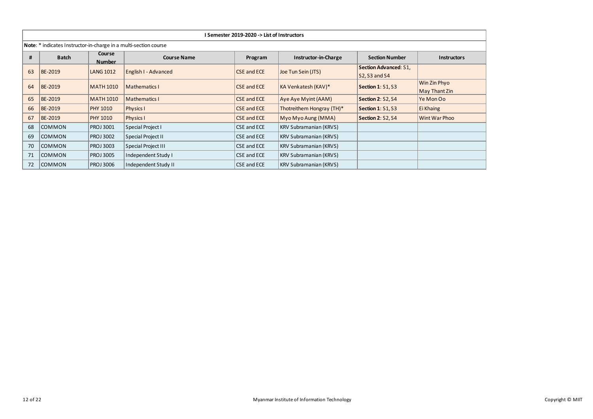|    |                                                                  |                                          |                      | I Semester 2019-2020 -> List of Instructors |                               |                                                      |                                      |
|----|------------------------------------------------------------------|------------------------------------------|----------------------|---------------------------------------------|-------------------------------|------------------------------------------------------|--------------------------------------|
|    | Note: * indicates Instructor-in-charge in a multi-section course |                                          |                      |                                             |                               |                                                      |                                      |
| #  | <b>Batch</b>                                                     | Course<br><b>Number</b>                  | <b>Course Name</b>   | <b>Section Number</b>                       | <b>Instructors</b>            |                                                      |                                      |
| 63 | <b>BE-2019</b>                                                   | <b>LANG 1012</b><br>English I - Advanced |                      | <b>CSE and ECE</b>                          | Joe Tun Sein (JTS)            | <b>Section Advanced: S1,</b><br><b>S2, S3 and S4</b> |                                      |
| 64 | <b>BE-2019</b>                                                   | <b>MATH 1010</b>                         | <b>Mathematics I</b> | <b>CSE and ECE</b>                          | KA Venkatesh (KAV)*           | <b>Section 1: S1, S3</b>                             | Win Zin Phyo<br><b>May Thant Zin</b> |
| 65 | <b>BE-2019</b>                                                   | <b>MATH 1010</b>                         | Mathematics I        | <b>CSE and ECE</b>                          | Aye Aye Myint (AAM)           | <b>Section 2: S2, S4</b>                             | Ye Mon Oo                            |
| 66 | <b>BE-2019</b>                                                   | <b>PHY 1010</b>                          | <b>Physics I</b>     | <b>CSE and ECE</b>                          | Thotreithem Hongray (TH)*     | <b>Section 1: S1, S3</b>                             | Ei Khaing                            |
| 67 | <b>BE-2019</b>                                                   | <b>PHY 1010</b>                          | Physics I            | <b>CSE and ECE</b>                          | Myo Myo Aung (MMA)            | <b>Section 2: S2, S4</b>                             | Wint War Phoo                        |
| 68 | COMMON                                                           | <b>PROJ 3001</b>                         | Special Project I    | CSE and ECE                                 | <b>KRV Subramanian (KRVS)</b> |                                                      |                                      |
| 69 | COMMON                                                           | <b>PROJ 3002</b>                         | Special Project II   | CSE and ECE                                 | <b>KRV Subramanian (KRVS)</b> |                                                      |                                      |
| 70 | <b>COMMON</b>                                                    | <b>PROJ 3003</b>                         | Special Project III  | CSE and ECE                                 | <b>KRV Subramanian (KRVS)</b> |                                                      |                                      |
| 71 | <b>COMMON</b>                                                    | <b>PROJ 3005</b>                         | Independent Study I  | KRV Subramanian (KRVS)                      |                               |                                                      |                                      |
| 72 | <b>COMMON</b>                                                    | <b>PROJ 3006</b>                         | Independent Study II | CSE and ECE                                 | <b>KRV Subramanian (KRVS)</b> |                                                      |                                      |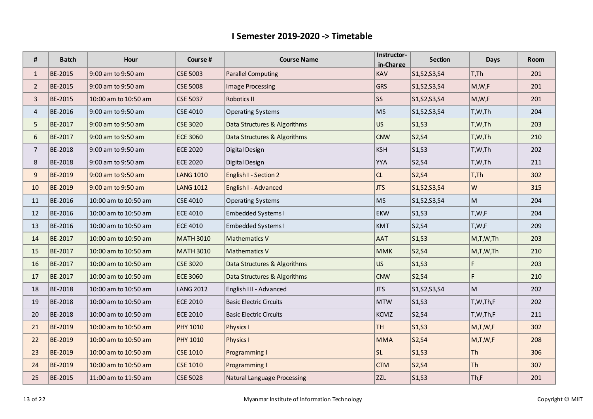| #              | <b>Batch</b> | Hour                 | Course #         | Instructor-<br><b>Course Name</b><br>in-Charge |             | <b>Section</b> | <b>Days</b> | Room |
|----------------|--------------|----------------------|------------------|------------------------------------------------|-------------|----------------|-------------|------|
| $\mathbf{1}$   | BE-2015      | 9:00 am to 9:50 am   | <b>CSE 5003</b>  | KAV<br><b>Parallel Computing</b>               |             | S1, S2, S3, S4 | T,Th        | 201  |
| $\overline{2}$ | BE-2015      | 9:00 am to 9:50 am   | <b>CSE 5008</b>  | <b>GRS</b><br><b>Image Processing</b>          |             | S1, S2, S3, S4 | M,W,F       | 201  |
| $\overline{3}$ | BE-2015      | 10:00 am to 10:50 am | <b>CSE 5037</b>  | SS<br><b>Robotics II</b>                       |             | S1, S2, S3, S4 | M,W,F       | 201  |
| 4              | BE-2016      | 9:00 am to 9:50 am   | <b>CSE 4010</b>  | <b>MS</b><br><b>Operating Systems</b>          |             | S1, S2, S3, S4 | T,W,Th      | 204  |
| 5              | BE-2017      | 9:00 am to 9:50 am   | <b>CSE 3020</b>  | Data Structures & Algorithms<br><b>US</b>      |             | S1, S3         | T,W,Th      | 203  |
| 6              | BE-2017      | 9:00 am to 9:50 am   | <b>ECE 3060</b>  | Data Structures & Algorithms<br><b>CNW</b>     |             | S2, S4         | T,W,Th      | 210  |
| $\overline{7}$ | BE-2018      | 9:00 am to 9:50 am   | <b>ECE 2020</b>  | Digital Design                                 | <b>KSH</b>  | S1, S3         | T,W,Th      | 202  |
| 8              | BE-2018      | 9:00 am to 9:50 am   | <b>ECE 2020</b>  | Digital Design                                 | <b>YYA</b>  | S2, S4         | T,W,Th      | 211  |
| 9              | BE-2019      | 9:00 am to 9:50 am   | <b>LANG 1010</b> | English I - Section 2                          | CL          | S2, S4         | T, Th       | 302  |
| 10             | BE-2019      | 9:00 am to 9:50 am   | <b>LANG 1012</b> | English I - Advanced                           | <b>JTS</b>  | S1, S2, S3, S4 | W           | 315  |
| 11             | BE-2016      | 10:00 am to 10:50 am | <b>CSE 4010</b>  | <b>Operating Systems</b>                       | <b>MS</b>   | S1, S2, S3, S4 | M           | 204  |
| 12             | BE-2016      | 10:00 am to 10:50 am | <b>ECE 4010</b>  | <b>Embedded Systems I</b>                      | <b>EKW</b>  | S1, S3         | T,W,F       | 204  |
| 13             | BE-2016      | 10:00 am to 10:50 am | <b>ECE 4010</b>  | <b>Embedded Systems I</b>                      | <b>KMT</b>  | S2, S4         | T,W,F       | 209  |
| 14             | BE-2017      | 10:00 am to 10:50 am | <b>MATH 3010</b> | Mathematics V                                  | <b>AAT</b>  | S1, S3         | M,T,W,Th    | 203  |
| 15             | BE-2017      | 10:00 am to 10:50 am | <b>MATH 3010</b> | Mathematics V                                  | <b>MMK</b>  | S2, S4         | M,T,W,Th    | 210  |
| 16             | BE-2017      | 10:00 am to 10:50 am | <b>CSE 3020</b>  | Data Structures & Algorithms                   | <b>US</b>   | S1, S3         | F           | 203  |
| 17             | BE-2017      | 10:00 am to 10:50 am | <b>ECE 3060</b>  | Data Structures & Algorithms                   | <b>CNW</b>  | S2, S4         | F.          | 210  |
| 18             | BE-2018      | 10:00 am to 10:50 am | <b>LANG 2012</b> | English III - Advanced                         | <b>JTS</b>  | S1, S2, S3, S4 | M           | 202  |
| 19             | BE-2018      | 10:00 am to 10:50 am | <b>ECE 2010</b>  | <b>Basic Electric Circuits</b>                 | <b>MTW</b>  | S1, S3         | T,W,Th,F    | 202  |
| 20             | BE-2018      | 10:00 am to 10:50 am | <b>ECE 2010</b>  | <b>Basic Electric Circuits</b>                 | <b>KCMZ</b> | S2, S4         | T,W,Th,F    | 211  |
| 21             | BE-2019      | 10:00 am to 10:50 am | <b>PHY 1010</b>  | Physics I                                      | <b>TH</b>   | S1, S3         | M,T,W,F     | 302  |
| 22             | BE-2019      | 10:00 am to 10:50 am | <b>PHY 1010</b>  | <b>Physics I</b>                               | <b>MMA</b>  | S2, S4         | M,T,W,F     | 208  |
| 23             | BE-2019      | 10:00 am to 10:50 am | <b>CSE 1010</b>  | Programming I                                  | <b>SL</b>   | S1, S3         | Th          | 306  |
| 24             | BE-2019      | 10:00 am to 10:50 am | <b>CSE 1010</b>  | Programming I                                  | <b>CTM</b>  | S2, S4         | Th          | 307  |
| 25             | BE-2015      | 11:00 am to 11:50 am | <b>CSE 5028</b>  | <b>Natural Language Processing</b>             | ZZL         | S1, S3         | Th,F        | 201  |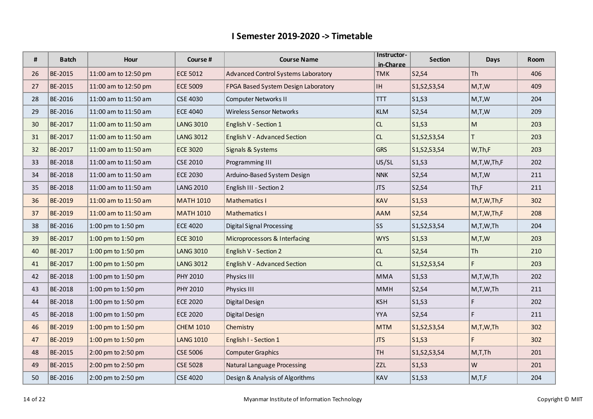| #  | <b>Batch</b> | Hour                 | Course #         | <b>Course Name</b>                                                       | Instructor-<br>in-Charge | <b>Section</b>                 | <b>Days</b> | Room |
|----|--------------|----------------------|------------------|--------------------------------------------------------------------------|--------------------------|--------------------------------|-------------|------|
| 26 | BE-2015      | 11:00 am to 12:50 pm | <b>ECE 5012</b>  | Advanced Control Systems Laboratory<br><b>TMK</b>                        |                          | S2, S4                         | Th          | 406  |
| 27 | BE-2015      | 11:00 am to 12:50 pm | <b>ECE 5009</b>  | $\ensuremath{\mathsf{IH}}\xspace$<br>FPGA Based System Design Laboratory |                          | S1, S2, S3, S4                 | M,T,W       | 409  |
| 28 | BE-2016      | 11:00 am to 11:50 am | <b>CSE 4030</b>  | <b>Computer Networks II</b><br><b>TTT</b>                                |                          | S1, S3                         | M,T,W       | 204  |
| 29 | BE-2016      | 11:00 am to 11:50 am | <b>ECE 4040</b>  | <b>Wireless Sensor Networks</b><br><b>KLM</b>                            |                          | S2, S4                         | M,T,W       | 209  |
| 30 | BE-2017      | 11:00 am to 11:50 am | <b>LANG 3010</b> | CL<br>English V - Section 1                                              |                          | S1, S3                         | M           | 203  |
| 31 | BE-2017      | 11:00 am to 11:50 am | <b>LANG 3012</b> | English V - Advanced Section                                             | CL                       | S1, S2, S3, S4                 | T.          | 203  |
| 32 | BE-2017      | 11:00 am to 11:50 am | <b>ECE 3020</b>  | Signals & Systems                                                        | <b>GRS</b>               | S1, S2, S3, S4                 | W,Th,F      | 203  |
| 33 | BE-2018      | 11:00 am to 11:50 am | <b>CSE 2010</b>  | Programming III                                                          | US/SL                    | S1, S3                         | M,T,W,Th,F  | 202  |
| 34 | BE-2018      | 11:00 am to 11:50 am | <b>ECE 2030</b>  | Arduino-Based System Design                                              | <b>NNK</b>               | S2, S4                         | M,T,W       | 211  |
| 35 | BE-2018      | 11:00 am to 11:50 am | <b>LANG 2010</b> | English III - Section 2                                                  | <b>JTS</b>               | S2, S4                         | Th,F        | 211  |
| 36 | BE-2019      | 11:00 am to 11:50 am | <b>MATH 1010</b> | <b>Mathematics I</b>                                                     | KAV                      | S1, S3                         | M,T,W,Th,F  | 302  |
| 37 | BE-2019      | 11:00 am to 11:50 am | <b>MATH 1010</b> | <b>Mathematics I</b>                                                     | <b>AAM</b>               | S2, S4                         | M,T,W,Th,F  | 208  |
| 38 | BE-2016      | 1:00 pm to 1:50 pm   | <b>ECE 4020</b>  | <b>Digital Signal Processing</b>                                         | SS                       | S1, S2, S3, S4                 | M,T,W,Th    | 204  |
| 39 | BE-2017      | 1:00 pm to 1:50 pm   | <b>ECE 3010</b>  | Microprocessors & Interfacing                                            | <b>WYS</b>               | S1, S3                         | M,T,W       | 203  |
| 40 | BE-2017      | 1:00 pm to 1:50 pm   | <b>LANG 3010</b> | English V - Section 2                                                    | CL                       | S2, S4                         | Th          | 210  |
| 41 | BE-2017      | 1:00 pm to 1:50 pm   | <b>LANG 3012</b> | English V - Advanced Section                                             | CL                       | S1, S2, S3, S4                 | F           | 203  |
| 42 | BE-2018      | 1:00 pm to 1:50 pm   | PHY 2010         | Physics III                                                              | <b>MMA</b>               | S1, S3                         | M,T,W,Th    | 202  |
| 43 | BE-2018      | 1:00 pm to 1:50 pm   | PHY 2010         | Physics III                                                              | <b>MMH</b>               | S2, S4                         | M,T,W,Th    | 211  |
| 44 | BE-2018      | 1:00 pm to 1:50 pm   | <b>ECE 2020</b>  | Digital Design                                                           | <b>KSH</b>               | S1, S3                         | F           | 202  |
| 45 | BE-2018      | 1:00 pm to 1:50 pm   | <b>ECE 2020</b>  | Digital Design                                                           | <b>YYA</b>               | S2, S4                         | F           | 211  |
| 46 | BE-2019      | 1:00 pm to 1:50 pm   | <b>CHEM 1010</b> | Chemistry                                                                | <b>MTM</b>               | S1, S2, S3, S4                 | M,T,W,Th    | 302  |
| 47 | BE-2019      | 1:00 pm to 1:50 pm   | <b>LANG 1010</b> | English I - Section 1                                                    | <b>JTS</b>               | S <sub>1</sub> ,S <sub>3</sub> | F.          | 302  |
| 48 | BE-2015      | 2:00 pm to 2:50 pm   | <b>CSE 5006</b>  | <b>TH</b><br><b>Computer Graphics</b>                                    |                          | S1, S2, S3, S4                 | M,T,Th      | 201  |
| 49 | BE-2015      | 2:00 pm to 2:50 pm   | <b>CSE 5028</b>  | <b>Natural Language Processing</b><br><b>ZZL</b>                         |                          | S1, S3                         | W           | 201  |
| 50 | BE-2016      | 2:00 pm to 2:50 pm   | <b>CSE 4020</b>  | Design & Analysis of Algorithms                                          | KAV                      | S1, S3                         | M,T,F       | 204  |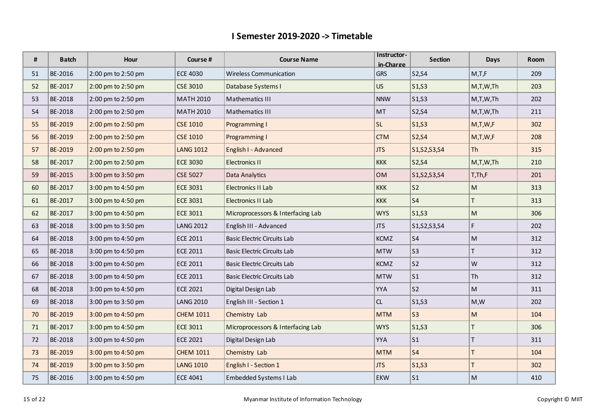| #  | <b>Batch</b>   | Hour               | Course #         | <b>Course Name</b>                                       | Instructor- | <b>Section</b>                 | Days                    | Room |
|----|----------------|--------------------|------------------|----------------------------------------------------------|-------------|--------------------------------|-------------------------|------|
|    | BE-2016        |                    | <b>ECE 4030</b>  | in-Charge<br><b>Wireless Communication</b><br><b>GRS</b> |             |                                |                         |      |
| 51 |                | 2:00 pm to 2:50 pm |                  |                                                          |             | S2, S4                         | M,T,F                   | 209  |
| 52 | BE-2017        | 2:00 pm to 2:50 pm | <b>CSE 3010</b>  | US<br>Database Systems I                                 |             | S1, S3                         | M,T,W,Th                | 203  |
| 53 | BE-2018        | 2:00 pm to 2:50 pm | <b>MATH 2010</b> | Mathematics III                                          | <b>NNW</b>  | S1, S3                         | M,T,W,Th                | 202  |
| 54 | BE-2018        | 2:00 pm to 2:50 pm | <b>MATH 2010</b> | Mathematics III                                          | MT          | S2, S4                         | M,T,W,Th                | 211  |
| 55 | BE-2019        | 2:00 pm to 2:50 pm | <b>CSE 1010</b>  | Programming I                                            | SL.         | S1, S3                         | M,T,W,F                 | 302  |
| 56 | BE-2019        | 2:00 pm to 2:50 pm | <b>CSE 1010</b>  | Programming I                                            | <b>CTM</b>  | S2, S4                         | M,T,W,F                 | 208  |
| 57 | <b>BE-2019</b> | 2:00 pm to 2:50 pm | <b>LANG 1012</b> | English I - Advanced                                     | <b>JTS</b>  | S1, S2, S3, S4                 | $ \text{Th} $           | 315  |
| 58 | BE-2017        | 2:00 pm to 2:50 pm | <b>ECE 3030</b>  | <b>Electronics II</b>                                    | <b>KKK</b>  | S2, S4                         | M,T,W,Th                | 210  |
| 59 | BE-2015        | 3:00 pm to 3:50 pm | <b>CSE 5027</b>  | Data Analytics                                           | <b>OM</b>   | S1, S2, S3, S4                 | $T$ , $Th$ , $F$        | 201  |
| 60 | BE-2017        | 3:00 pm to 4:50 pm | <b>ECE 3031</b>  | Electronics II Lab                                       | <b>KKK</b>  | S <sub>2</sub>                 | M                       | 313  |
| 61 | BE-2017        | 3:00 pm to 4:50 pm | <b>ECE 3031</b>  | Electronics II Lab                                       | <b>KKK</b>  | S <sub>4</sub>                 | T                       | 313  |
| 62 | BE-2017        | 3:00 pm to 4:50 pm | <b>ECE 3011</b>  | Microprocessors & Interfacing Lab                        | <b>WYS</b>  | S <sub>1</sub> ,S <sub>3</sub> | M                       | 306  |
| 63 | BE-2018        | 3:00 pm to 3:50 pm | <b>LANG 2012</b> | English III - Advanced                                   | <b>JTS</b>  | S1, S2, S3, S4                 | F                       | 202  |
| 64 | BE-2018        | 3:00 pm to 4:50 pm | ECE 2011         | <b>Basic Electric Circuits Lab</b>                       | <b>KCMZ</b> | S <sub>4</sub>                 | M                       | 312  |
| 65 | BE-2018        | 3:00 pm to 4:50 pm | <b>ECE 2011</b>  | <b>Basic Electric Circuits Lab</b>                       | <b>MTW</b>  | S <sub>3</sub>                 | T                       | 312  |
| 66 | BE-2018        | 3:00 pm to 4:50 pm | <b>ECE 2011</b>  | <b>Basic Electric Circuits Lab</b>                       | <b>KCMZ</b> | S <sub>2</sub>                 | W                       | 312  |
| 67 | BE-2018        | 3:00 pm to 4:50 pm | <b>ECE 2011</b>  | <b>Basic Electric Circuits Lab</b>                       | <b>MTW</b>  | $\vert$ S1                     | Th                      | 312  |
| 68 | BE-2018        | 3:00 pm to 4:50 pm | <b>ECE 2021</b>  | Digital Design Lab                                       | <b>YYA</b>  | S <sub>2</sub>                 | M                       | 311  |
| 69 | BE-2018        | 3:00 pm to 3:50 pm | <b>LANG 2010</b> | English III - Section 1                                  | CL          | S1, S3                         | M,W                     | 202  |
| 70 | BE-2019        | 3:00 pm to 4:50 pm | <b>CHEM 1011</b> | Chemistry Lab                                            | <b>MTM</b>  | S <sub>3</sub>                 | $\overline{\mathsf{M}}$ | 104  |
| 71 | BE-2017        | 3:00 pm to 4:50 pm | <b>ECE 3011</b>  | Microprocessors & Interfacing Lab                        | <b>WYS</b>  | S <sub>1</sub> ,S <sub>3</sub> | $\mathsf{T}$            | 306  |
| 72 | <b>BE-2018</b> | 3:00 pm to 4:50 pm | <b>ECE 2021</b>  | Digital Design Lab                                       | YYA         | S <sub>1</sub>                 | T                       | 311  |
| 73 | <b>BE-2019</b> | 3:00 pm to 4:50 pm | <b>CHEM 1011</b> | Chemistry Lab                                            | <b>MTM</b>  | S <sub>4</sub>                 | T                       | 104  |
| 74 | BE-2019        | 3:00 pm to 3:50 pm | <b>LANG 1010</b> | English I - Section 1                                    | <b>JTS</b>  | S1, S3                         | T                       | 302  |
| 75 | BE-2016        | 3:00 pm to 4:50 pm | <b>ECE 4041</b>  | Embedded Systems I Lab                                   | <b>EKW</b>  | S <sub>1</sub>                 | M                       | 410  |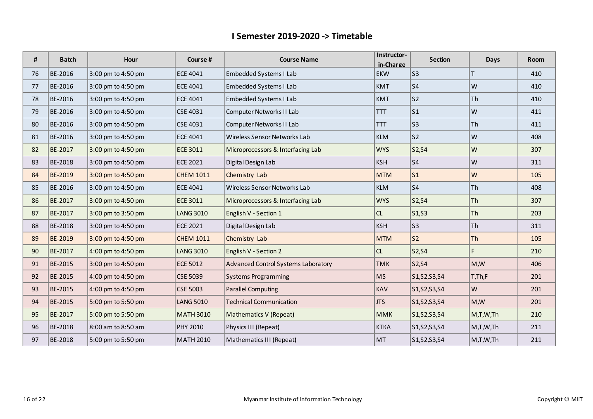| #  | <b>Batch</b> | Hour               | Course #         | <b>Course Name</b>                          | Instructor-<br>in-Charge | <b>Section</b> | Days      | Room |
|----|--------------|--------------------|------------------|---------------------------------------------|--------------------------|----------------|-----------|------|
| 76 | BE-2016      | 3:00 pm to 4:50 pm | <b>ECE 4041</b>  | Embedded Systems I Lab<br>EKW               |                          | S <sub>3</sub> |           | 410  |
| 77 | BE-2016      | 3:00 pm to 4:50 pm | <b>ECE 4041</b>  | <b>Embedded Systems I Lab</b><br><b>KMT</b> |                          | S <sub>4</sub> | W         | 410  |
| 78 | BE-2016      | 3:00 pm to 4:50 pm | <b>ECE 4041</b>  | Embedded Systems I Lab<br><b>KMT</b>        |                          | S <sub>2</sub> | Th        | 410  |
| 79 | BE-2016      | 3:00 pm to 4:50 pm | <b>CSE 4031</b>  | Computer Networks II Lab<br><b>TTT</b>      |                          | S <sub>1</sub> | W         | 411  |
| 80 | BE-2016      | 3:00 pm to 4:50 pm | <b>CSE 4031</b>  | Computer Networks II Lab<br><b>TTT</b>      |                          | S <sub>3</sub> | Th        | 411  |
| 81 | BE-2016      | 3:00 pm to 4:50 pm | <b>ECE 4041</b>  | Wireless Sensor Networks Lab                | <b>KLM</b>               | S <sub>2</sub> | W         | 408  |
| 82 | BE-2017      | 3:00 pm to 4:50 pm | ECE 3011         | Microprocessors & Interfacing Lab           | <b>WYS</b>               | S2, S4         | W         | 307  |
| 83 | BE-2018      | 3:00 pm to 4:50 pm | <b>ECE 2021</b>  | Digital Design Lab                          | <b>KSH</b>               | S <sub>4</sub> | W         | 311  |
| 84 | BE-2019      | 3:00 pm to 4:50 pm | <b>CHEM 1011</b> | Chemistry Lab                               | <b>MTM</b>               | S <sub>1</sub> | W         | 105  |
| 85 | BE-2016      | 3:00 pm to 4:50 pm | <b>ECE 4041</b>  | Wireless Sensor Networks Lab                | <b>KLM</b>               | S <sub>4</sub> | Th        | 408  |
| 86 | BE-2017      | 3:00 pm to 4:50 pm | <b>ECE 3011</b>  | Microprocessors & Interfacing Lab           | <b>WYS</b>               | S2, S4         | <b>Th</b> | 307  |
| 87 | BE-2017      | 3:00 pm to 3:50 pm | <b>LANG 3010</b> | English V - Section 1                       | CL                       | S1, S3         | <b>Th</b> | 203  |
| 88 | BE-2018      | 3:00 pm to 4:50 pm | <b>ECE 2021</b>  | Digital Design Lab                          | <b>KSH</b>               | S <sub>3</sub> | Th        | 311  |
| 89 | BE-2019      | 3:00 pm to 4:50 pm | <b>CHEM 1011</b> | Chemistry Lab                               | <b>MTM</b>               | S <sub>2</sub> | Th        | 105  |
| 90 | BE-2017      | 4:00 pm to 4:50 pm | <b>LANG 3010</b> | English V - Section 2                       | CL                       | S2, S4         | F.        | 210  |
| 91 | BE-2015      | 3:00 pm to 4:50 pm | <b>ECE 5012</b>  | Advanced Control Systems Laboratory         | <b>TMK</b>               | S2, S4         | M,W       | 406  |
| 92 | BE-2015      | 4:00 pm to 4:50 pm | <b>CSE 5039</b>  | <b>Systems Programming</b>                  | <b>MS</b>                | S1, S2, S3, S4 | T,Th,F    | 201  |
| 93 | BE-2015      | 4:00 pm to 4:50 pm | <b>CSE 5003</b>  | <b>Parallel Computing</b>                   | <b>KAV</b>               | S1, S2, S3, S4 | W         | 201  |
| 94 | BE-2015      | 5:00 pm to 5:50 pm | <b>LANG 5010</b> | <b>Technical Communication</b>              | <b>JTS</b>               | S1, S2, S3, S4 | M,W       | 201  |
| 95 | BE-2017      | 5:00 pm to 5:50 pm | <b>MATH 3010</b> | Mathematics V (Repeat)                      | <b>MMK</b>               | S1, S2, S3, S4 | M,T,W,Th  | 210  |
| 96 | BE-2018      | 8:00 am to 8:50 am | <b>PHY 2010</b>  | Physics III (Repeat)                        | <b>KTKA</b>              | S1, S2, S3, S4 | M,T,W,Th  | 211  |
| 97 | BE-2018      | 5:00 pm to 5:50 pm | <b>MATH 2010</b> | Mathematics III (Repeat)                    | MT                       | S1, S2, S3, S4 | M,T,W,Th  | 211  |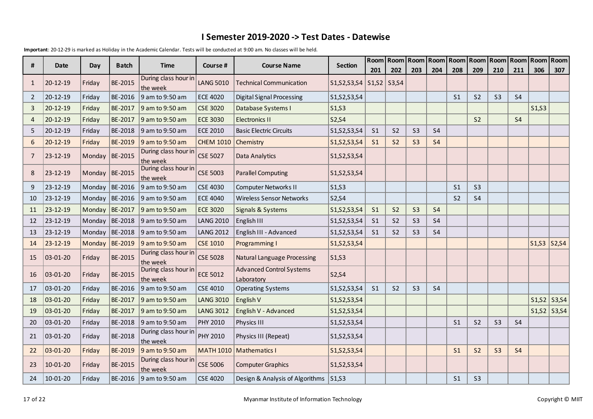|                |                |                  |              |                                  |                  |                                               |                                | Room            | Room           | Room           |           |                | Room   Room   Room   Room |                | Room      | Room Room         |     |
|----------------|----------------|------------------|--------------|----------------------------------|------------------|-----------------------------------------------|--------------------------------|-----------------|----------------|----------------|-----------|----------------|---------------------------|----------------|-----------|-------------------|-----|
| #              | Date           | Day              | <b>Batch</b> | <b>Time</b>                      | Course #         | <b>Course Name</b>                            | <b>Section</b>                 | 201             | 202            | 203            | 204       | 208            | 209                       | 210            | 211       | 306               | 307 |
| $\mathbf{1}$   | 20-12-19       | Friday           | BE-2015      | During class hour in<br>the week | <b>LANG 5010</b> | <b>Technical Communication</b>                | S1, S2, S3, S4                 | $S1, S2$ S3, S4 |                |                |           |                |                           |                |           |                   |     |
| $\overline{2}$ | 20-12-19       | Friday           | BE-2016      | 9 am to 9:50 am                  | <b>ECE 4020</b>  | <b>Digital Signal Processing</b>              | S1, S2, S3, S4                 |                 |                |                |           | S <sub>1</sub> | S <sub>2</sub>            | S <sub>3</sub> | <b>S4</b> |                   |     |
| 3              | 20-12-19       | Friday           | BE-2017      | 9 am to 9:50 am                  | <b>CSE 3020</b>  | Database Systems I                            | S <sub>1</sub> ,S <sub>3</sub> |                 |                |                |           |                |                           |                |           | S1, S3            |     |
| $\overline{4}$ | 20-12-19       | Friday           | BE-2017      | 9 am to 9:50 am                  | <b>ECE 3030</b>  | <b>Electronics II</b>                         | S2, S4                         |                 |                |                |           |                | S <sub>2</sub>            |                | <b>S4</b> |                   |     |
| 5              | 20-12-19       | Friday           | BE-2018      | 9 am to 9:50 am                  | <b>ECE 2010</b>  | <b>Basic Electric Circuits</b>                | S1, S2, S3, S4                 | S <sub>1</sub>  | S <sub>2</sub> | S <sub>3</sub> | <b>S4</b> |                |                           |                |           |                   |     |
| 6              | $20 - 12 - 19$ | Friday           | BE-2019      | 9 am to 9:50 am                  | <b>CHEM 1010</b> | Chemistry                                     | S1, S2, S3, S4                 | S <sub>1</sub>  | S <sub>2</sub> | S <sub>3</sub> | <b>S4</b> |                |                           |                |           |                   |     |
| 7              | 23-12-19       | Monday           | BE-2015      | During class hour in<br>the week | <b>CSE 5027</b>  | Data Analytics                                | S1, S2, S3, S4                 |                 |                |                |           |                |                           |                |           |                   |     |
| 8              | 23-12-19       | Monday           | BE-2015      | During class hour in<br>the week | <b>CSE 5003</b>  | <b>Parallel Computing</b>                     | S1, S2, S3, S4                 |                 |                |                |           |                |                           |                |           |                   |     |
| 9              | 23-12-19       | Monday           | BE-2016      | 9 am to 9:50 am                  | <b>CSE 4030</b>  | <b>Computer Networks II</b>                   | S <sub>1</sub> ,S <sub>3</sub> |                 |                |                |           | S <sub>1</sub> | S <sub>3</sub>            |                |           |                   |     |
| 10             | 23-12-19       | Monday           | BE-2016      | $9$ am to 9:50 am                | <b>ECE 4040</b>  | <b>Wireless Sensor Networks</b>               | S2,S4                          |                 |                |                |           | S <sub>2</sub> | <b>S4</b>                 |                |           |                   |     |
| 11             | 23-12-19       | Monday           | BE-2017      | 9 am to 9:50 am                  | <b>ECE 3020</b>  | Signals & Systems                             | S1, S2, S3, S4                 | S <sub>1</sub>  | S <sub>2</sub> | <b>S3</b>      | <b>S4</b> |                |                           |                |           |                   |     |
| 12             | 23-12-19       | Monday $BE-2018$ |              | 9 am to 9:50 am                  | <b>LANG 2010</b> | English III                                   | S1, S2, S3, S4                 | S <sub>1</sub>  | S <sub>2</sub> | S <sub>3</sub> | <b>S4</b> |                |                           |                |           |                   |     |
| 13             | 23-12-19       | Monday           | BE-2018      | 9 am to 9:50 am                  | <b>LANG 2012</b> | English III - Advanced                        | S1, S2, S3, S4                 | S <sub>1</sub>  | S <sub>2</sub> | S <sub>3</sub> | <b>S4</b> |                |                           |                |           |                   |     |
| 14             | 23-12-19       | Monday           | BE-2019      | 9 am to 9:50 am                  | <b>CSE 1010</b>  | Programming I                                 | S1, S2, S3, S4                 |                 |                |                |           |                |                           |                |           | $S1, S3$ $S2, S4$ |     |
| 15             | 03-01-20       | Friday           | BE-2015      | During class hour in<br>the week | <b>CSE 5028</b>  | <b>Natural Language Processing</b>            | S <sub>1</sub> ,S <sub>3</sub> |                 |                |                |           |                |                           |                |           |                   |     |
| 16             | 03-01-20       | Friday           | BE-2015      | During class hour in<br>the week | <b>ECE 5012</b>  | <b>Advanced Control Systems</b><br>Laboratory | S2, S4                         |                 |                |                |           |                |                           |                |           |                   |     |
| 17             | 03-01-20       | Friday           | BE-2016      | 9 am to 9:50 am                  | <b>CSE 4010</b>  | <b>Operating Systems</b>                      | S1, S2, S3, S4                 | S <sub>1</sub>  | S <sub>2</sub> | S <sub>3</sub> | <b>S4</b> |                |                           |                |           |                   |     |
| 18             | 03-01-20       | Friday           | BE-2017      | 9 am to 9:50 am                  | <b>LANG 3010</b> | English V                                     | S1, S2, S3, S4                 |                 |                |                |           |                |                           |                |           | $S1, S2$ S3, S4   |     |
| 19             | $03 - 01 - 20$ | Friday           | BE-2017      | 9 am to 9:50 am                  | <b>LANG 3012</b> | English V - Advanced                          | S1, S2, S3, S4                 |                 |                |                |           |                |                           |                |           | $S1, S2$ S3, S4   |     |
| 20             | 03-01-20       | Friday           | BE-2018      | 9 am to 9:50 am                  | <b>PHY 2010</b>  | Physics III                                   | S1, S2, S3, S4                 |                 |                |                |           | S <sub>1</sub> | S <sub>2</sub>            | S <sub>3</sub> | <b>S4</b> |                   |     |
| 21             | 03-01-20       | Friday           | BE-2018      | During class hour in<br>the week | PHY 2010         | Physics III (Repeat)                          | S1, S2, S3, S4                 |                 |                |                |           |                |                           |                |           |                   |     |
| 22             | 03-01-20       | Friday           | BE-2019      | 9 am to 9:50 am                  |                  | MATH 1010   Mathematics I                     | S1, S2, S3, S4                 |                 |                |                |           | S <sub>1</sub> | S <sub>2</sub>            | S <sub>3</sub> | <b>S4</b> |                   |     |
| 23             | 10-01-20       | Friday           | BE-2015      | During class hour in<br>the week | <b>CSE 5006</b>  | <b>Computer Graphics</b>                      | S1, S2, S3, S4                 |                 |                |                |           |                |                           |                |           |                   |     |
| 24             | 10-01-20       | Friday           | BE-2016      | 9 am to 9:50 am                  | <b>CSE 4020</b>  | Design & Analysis of Algorithms               | S1,S3                          |                 |                |                |           | S <sub>1</sub> | S <sub>3</sub>            |                |           |                   |     |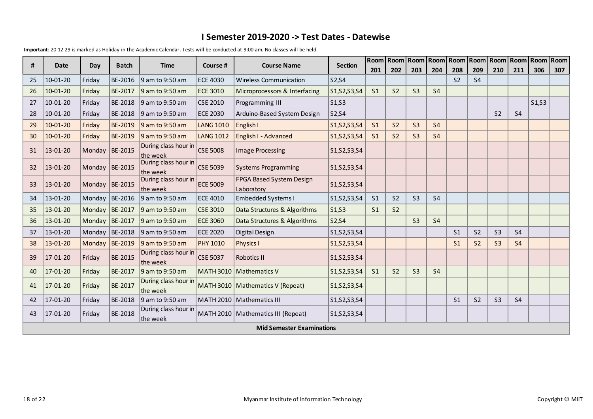| #  | <b>Date</b>                                                                                                     | Day              | <b>Batch</b> | <b>Time</b>                      | Course #         |                                        | <b>Section</b><br><b>Course Name</b> |                | Room Room      |                |                |                | Room   Room   Room   Room   Room |                | <b>Room</b>    | Room Room |     |
|----|-----------------------------------------------------------------------------------------------------------------|------------------|--------------|----------------------------------|------------------|----------------------------------------|--------------------------------------|----------------|----------------|----------------|----------------|----------------|----------------------------------|----------------|----------------|-----------|-----|
|    |                                                                                                                 |                  |              |                                  |                  |                                        |                                      | 201            | 202            | 203            | 204            | 208            | 209                              | 210            | 211            | 306       | 307 |
| 25 | 10-01-20                                                                                                        | Friday           | BE-2016      | 9 am to 9:50 am                  | <b>ECE 4030</b>  | <b>Wireless Communication</b>          | S2, S4                               |                |                |                |                | S <sub>2</sub> | <b>S4</b>                        |                |                |           |     |
| 26 | $10-01-20$                                                                                                      | Friday           | BE-2017      | 9 am to 9:50 am                  | <b>ECE 3010</b>  | Microprocessors & Interfacing          | $S1, S2, S3, S4$                     | S <sub>1</sub> | S <sub>2</sub> | S <sub>3</sub> | <b>S4</b>      |                |                                  |                |                |           |     |
| 27 | 10-01-20                                                                                                        | Friday           | BE-2018      | 9 am to 9:50 am                  | <b>CSE 2010</b>  | Programming III                        | S1,S3                                |                |                |                |                |                |                                  |                |                | S1, S3    |     |
| 28 | 10-01-20                                                                                                        | Friday           | BE-2018      | 9 am to 9:50 am                  | <b>ECE 2030</b>  | Arduino-Based System Design            | S2,S4                                |                |                |                |                |                |                                  | S <sub>2</sub> | S <sub>4</sub> |           |     |
| 29 | $10-01-20$                                                                                                      | Friday           | BE-2019      | 9 am to 9:50 am                  | <b>LANG 1010</b> | English I                              | S1, S2, S3, S4                       | S <sub>1</sub> | S <sub>2</sub> | S <sub>3</sub> | S <sub>4</sub> |                |                                  |                |                |           |     |
| 30 | $10-01-20$                                                                                                      | Friday           | BE-2019      | 9 am to 9:50 am                  | <b>LANG 1012</b> | English I - Advanced                   | S1, S2, S3, S4                       | S <sub>1</sub> | S <sub>2</sub> | S <sub>3</sub> | <b>S4</b>      |                |                                  |                |                |           |     |
| 31 | 13-01-20                                                                                                        | Monday BE-2015   |              | During class hour in<br>the week | <b>CSE 5008</b>  | <b>Image Processing</b>                | S1, S2, S3, S4                       |                |                |                |                |                |                                  |                |                |           |     |
| 32 | 13-01-20                                                                                                        | Monday   BE-2015 |              | During class hour in<br>the week | <b>CSE 5039</b>  | <b>Systems Programming</b>             | S1, S2, S3, S4                       |                |                |                |                |                |                                  |                |                |           |     |
| 33 | 13-01-20                                                                                                        | Monday BE-2015   |              | During class hour in<br>the week | <b>ECE 5009</b>  | FPGA Based System Design<br>Laboratory | S1, S2, S3, S4                       |                |                |                |                |                |                                  |                |                |           |     |
| 34 | 13-01-20                                                                                                        | Monday   BE-2016 |              | 9 am to 9:50 am                  | <b>ECE 4010</b>  | <b>Embedded Systems I</b>              | S1, S2, S3, S4                       | S <sub>1</sub> | S <sub>2</sub> | S <sub>3</sub> | <b>S4</b>      |                |                                  |                |                |           |     |
| 35 | 13-01-20                                                                                                        | Monday BE-2017   |              | 9 am to 9:50 am                  | <b>CSE 3010</b>  | Data Structures & Algorithms           | S1,S3                                | S <sub>1</sub> | S <sub>2</sub> |                |                |                |                                  |                |                |           |     |
| 36 | 13-01-20                                                                                                        | Monday   BE-2017 |              | 9 am to 9:50 am                  | <b>ECE 3060</b>  | Data Structures & Algorithms           | S2, S4                               |                |                | S <sub>3</sub> | <b>S4</b>      |                |                                  |                |                |           |     |
| 37 | 13-01-20                                                                                                        | Monday $BE-2018$ |              | 9 am to 9:50 am                  | <b>ECE 2020</b>  | Digital Design                         | S1, S2, S3, S4                       |                |                |                |                | S <sub>1</sub> | S <sub>2</sub>                   | S <sub>3</sub> | <b>S4</b>      |           |     |
| 38 | 13-01-20                                                                                                        | Monday           | BE-2019      | 9 am to 9:50 am                  | <b>PHY 1010</b>  | <b>Physics I</b>                       | S1, S2, S3, S4                       |                |                |                |                | S <sub>1</sub> | S <sub>2</sub>                   | S <sub>3</sub> | S <sub>4</sub> |           |     |
| 39 | 17-01-20                                                                                                        | Friday           | BE-2015      | During class hour in<br>the week | <b>CSE 5037</b>  | Robotics II                            | S1, S2, S3, S4                       |                |                |                |                |                |                                  |                |                |           |     |
| 40 | 17-01-20                                                                                                        | Friday           | BE-2017      | 9 am to 9:50 am                  |                  | MATH 3010   Mathematics V              | S1, S2, S3, S4                       | S <sub>1</sub> | S <sub>2</sub> | S <sub>3</sub> | <b>S4</b>      |                |                                  |                |                |           |     |
| 41 | 17-01-20                                                                                                        | Friday           | BE-2017      | During class hour in<br>the week |                  | MATH 3010   Mathematics V (Repeat)     | S1, S2, S3, S4                       |                |                |                |                |                |                                  |                |                |           |     |
| 42 | 17-01-20                                                                                                        | Friday           | BE-2018      | 9 am to 9:50 am                  |                  | MATH 2010   Mathematics III            | S1,S2,S3,S4                          |                |                |                |                | S <sub>1</sub> | S <sub>2</sub>                   | S <sub>3</sub> | S <sub>4</sub> |           |     |
| 43 | During class hour in<br>BE-2018<br>MATH 2010   Mathematics III (Repeat)<br>$17 - 01 - 20$<br>Friday<br>the week |                  |              |                                  | S1, S2, S3, S4   |                                        |                                      |                |                |                |                |                |                                  |                |                |           |     |
|    |                                                                                                                 |                  |              |                                  |                  | <b>Mid Semester Examinations</b>       |                                      |                |                |                |                |                |                                  |                |                |           |     |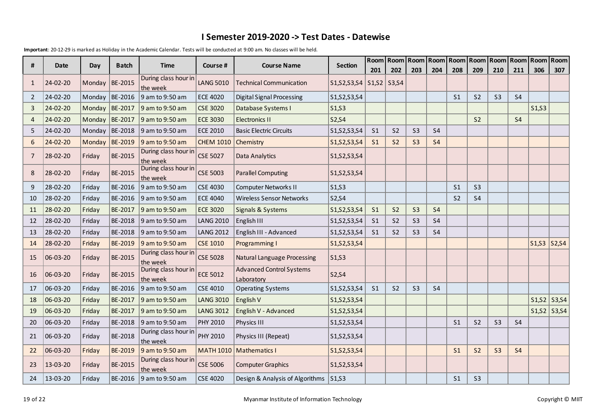|                |                  |                  | <b>Batch</b>   | <b>Time</b>                      |                  |                                               |                                | Room           | Room            | Room           |                |                | Room   Room   Room   Room |                | Room           | <b>Room</b> Room  |     |
|----------------|------------------|------------------|----------------|----------------------------------|------------------|-----------------------------------------------|--------------------------------|----------------|-----------------|----------------|----------------|----------------|---------------------------|----------------|----------------|-------------------|-----|
| #              | Date             | Day              |                |                                  | Course #         | <b>Course Name</b>                            | <b>Section</b>                 | 201            | 202             | 203            | 204            | 208            | 209                       | 210            | 211            | 306               | 307 |
| 1              | 24-02-20         | Monday           | BE-2015        | During class hour in<br>the week | <b>LANG 5010</b> | Technical Communication                       | S1, S2, S3, S4                 |                | $S1, S2$ S3, S4 |                |                |                |                           |                |                |                   |     |
| 2              | 24-02-20         | Monday           | BE-2016        | 9 am to 9:50 am                  | <b>ECE 4020</b>  | <b>Digital Signal Processing</b>              | S1, S2, S3, S4                 |                |                 |                |                | S <sub>1</sub> | S <sub>2</sub>            | S <sub>3</sub> | <b>S4</b>      |                   |     |
| 3              | 24-02-20         | Monday           | BE-2017        | 9 am to 9:50 am                  | <b>CSE 3020</b>  | Database Systems I                            | S <sub>1</sub> ,S <sub>3</sub> |                |                 |                |                |                |                           |                |                | S1, S3            |     |
| $\overline{4}$ | 24-02-20         | Monday $BE-2017$ |                | 9 am to 9:50 am                  | <b>ECE 3030</b>  | <b>Electronics II</b>                         | S2, S4                         |                |                 |                |                |                | S <sub>2</sub>            |                | S <sub>4</sub> |                   |     |
| 5              | 24-02-20         | Monday           | BE-2018        | 9 am to 9:50 am                  | <b>ECE 2010</b>  | <b>Basic Electric Circuits</b>                | S1, S2, S3, S4                 | S <sub>1</sub> | S <sub>2</sub>  | S <sub>3</sub> | <b>S4</b>      |                |                           |                |                |                   |     |
| 6              | 24-02-20         | Monday           | BE-2019        | 9 am to 9:50 am                  | <b>CHEM 1010</b> | Chemistry                                     | S1, S2, S3, S4                 | S <sub>1</sub> | S <sub>2</sub>  | S <sub>3</sub> | <b>S4</b>      |                |                           |                |                |                   |     |
| 7              | 28-02-20         | Friday           | BE-2015        | During class hour in<br>the week | <b>CSE 5027</b>  | Data Analytics                                | S1, S2, S3, S4                 |                |                 |                |                |                |                           |                |                |                   |     |
| 8              | 28-02-20         | Friday           | BE-2015        | During class hour in<br>the week | <b>CSE 5003</b>  | <b>Parallel Computing</b>                     | S1, S2, S3, S4                 |                |                 |                |                |                |                           |                |                |                   |     |
| 9              | 28-02-20         | Friday           | BE-2016        | 9 am to 9:50 am                  | <b>CSE 4030</b>  | <b>Computer Networks II</b>                   | S <sub>1</sub> ,S <sub>3</sub> |                |                 |                |                | S <sub>1</sub> | S <sub>3</sub>            |                |                |                   |     |
| 10             | 28-02-20         | Friday           | BE-2016        | $\vert$ 9 am to 9:50 am          | <b>ECE 4040</b>  | <b>Wireless Sensor Networks</b>               | S2,S4                          |                |                 |                |                | S <sub>2</sub> | <b>S4</b>                 |                |                |                   |     |
| 11             | 28-02-20         | Friday           | BE-2017        | 9 am to 9:50 am                  | <b>ECE 3020</b>  | Signals & Systems                             | S1, S2, S3, S4                 | S <sub>1</sub> | S <sub>2</sub>  | S <sub>3</sub> | <b>S4</b>      |                |                           |                |                |                   |     |
| 12             | 28-02-20         | Friday           | BE-2018        | 9 am to 9:50 am                  | <b>LANG 2010</b> | English III                                   | S1, S2, S3, S4                 | S <sub>1</sub> | S <sub>2</sub>  | S <sub>3</sub> | S <sub>4</sub> |                |                           |                |                |                   |     |
| 13             | 28-02-20         | Friday           | BE-2018        | 9 am to 9:50 am                  | <b>LANG 2012</b> | English III - Advanced                        | S1, S2, S3, S4                 | S <sub>1</sub> | S <sub>2</sub>  | S <sub>3</sub> | <b>S4</b>      |                |                           |                |                |                   |     |
| 14             | 28-02-20         | Friday           | BE-2019        | 9 am to 9:50 am                  | <b>CSE 1010</b>  | Programming I                                 | S1, S2, S3, S4                 |                |                 |                |                |                |                           |                |                | $S1, S3$ $S2, S4$ |     |
| 15             | 06-03-20         | Friday           | BE-2015        | During class hour in<br>the week | <b>CSE 5028</b>  | <b>Natural Language Processing</b>            | S <sub>1</sub> ,S <sub>3</sub> |                |                 |                |                |                |                           |                |                |                   |     |
| 16             | $ 06 - 03 - 20 $ | Friday           | BE-2015        | During class hour in<br>the week | <b>ECE 5012</b>  | <b>Advanced Control Systems</b><br>Laboratory | S2, S4                         |                |                 |                |                |                |                           |                |                |                   |     |
| 17             | 06-03-20         | Friday           | BE-2016        | 9 am to 9:50 am                  | <b>CSE 4010</b>  | <b>Operating Systems</b>                      | S1, S2, S3, S4                 | S <sub>1</sub> | S <sub>2</sub>  | S <sub>3</sub> | <b>S4</b>      |                |                           |                |                |                   |     |
| 18             | 06-03-20         | Friday           | BE-2017        | 9 am to 9:50 am                  | <b>LANG 3010</b> | English V                                     | S1, S2, S3, S4                 |                |                 |                |                |                |                           |                |                | $S1, S2$ S3, S4   |     |
| 19             | $ 06 - 03 - 20 $ | Friday           | BE-2017        | 9 am to 9:50 am                  | <b>LANG 3012</b> | English V - Advanced                          | S1, S2, S3, S4                 |                |                 |                |                |                |                           |                |                | $S1, S2$ S3, S4   |     |
| 20             | 06-03-20         | Friday           | BE-2018        | $9$ am to 9:50 am                | PHY 2010         | Physics III                                   | S1, S2, S3, S4                 |                |                 |                |                | S <sub>1</sub> | S <sub>2</sub>            | S <sub>3</sub> | <b>S4</b>      |                   |     |
| 21             | $ 06 - 03 - 20$  | Friday           | BE-2018        | During class hour in<br>the week | PHY 2010         | Physics III (Repeat)                          | S1, S2, S3, S4                 |                |                 |                |                |                |                           |                |                |                   |     |
| 22             | $ 06 - 03 - 20$  | Friday           | BE-2019        | 9 am to 9:50 am                  |                  | MATH 1010   Mathematics I                     | S1, S2, S3, S4                 |                |                 |                |                | S <sub>1</sub> | S <sub>2</sub>            | S <sub>3</sub> | S <sub>4</sub> |                   |     |
| 23             | 13-03-20         | Friday           | <b>BE-2015</b> | During class hour in<br>the week | <b>CSE 5006</b>  | <b>Computer Graphics</b>                      | S1, S2, S3, S4                 |                |                 |                |                |                |                           |                |                |                   |     |
| 24             | 13-03-20         | Friday           | BE-2016        | 9 am to 9:50 am                  | <b>CSE 4020</b>  | Design & Analysis of Algorithms               | S1,S3                          |                |                 |                |                | S <sub>1</sub> | S <sub>3</sub>            |                |                |                   |     |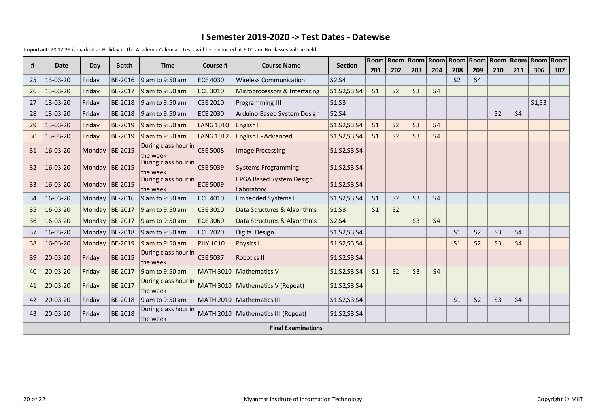| #  | <b>Date</b> | Day              | <b>Batch</b> | <b>Time</b>                      | Course #         | <b>Course Name</b>                     | <b>Section</b> | Room Room      |                | Room           |                | Room   Room   Room |                | Room           | Room           | Room Room |     |
|----|-------------|------------------|--------------|----------------------------------|------------------|----------------------------------------|----------------|----------------|----------------|----------------|----------------|--------------------|----------------|----------------|----------------|-----------|-----|
|    |             |                  |              |                                  |                  |                                        |                | 201            | 202            | 203            | 204            | 208                | 209            | 210            | 211            | 306       | 307 |
| 25 | 13-03-20    | Friday           | BE-2016      | 9 am to 9:50 am                  | <b>ECE 4030</b>  | <b>Wireless Communication</b>          | S2, S4         |                |                |                |                | S <sub>2</sub>     | <b>S4</b>      |                |                |           |     |
| 26 | 13-03-20    | Friday           | BE-2017      | 9 am to 9:50 am                  | <b>ECE 3010</b>  | Microprocessors & Interfacing          | S1, S2, S3, S4 | S <sub>1</sub> | S <sub>2</sub> | S <sub>3</sub> | S <sub>4</sub> |                    |                |                |                |           |     |
| 27 | 13-03-20    | Friday           | BE-2018      | 9 am to 9:50 am                  | <b>CSE 2010</b>  | Programming III                        | S1,S3          |                |                |                |                |                    |                |                |                | S1, S3    |     |
| 28 | 13-03-20    | Friday           | BE-2018      | 9 am to 9:50 am                  | <b>ECE 2030</b>  | Arduino-Based System Design            | S2,S4          |                |                |                |                |                    |                | S <sub>2</sub> | <b>S4</b>      |           |     |
| 29 | 13-03-20    | Friday           | BE-2019      | 9 am to 9:50 am                  | <b>LANG 1010</b> | English I                              | S1, S2, S3, S4 | S <sub>1</sub> | S <sub>2</sub> | S <sub>3</sub> | S <sub>4</sub> |                    |                |                |                |           |     |
| 30 | 13-03-20    | Friday           | BE-2019      | 9 am to 9:50 am                  | <b>LANG 1012</b> | English I - Advanced                   | S1, S2, S3, S4 | S <sub>1</sub> | S <sub>2</sub> | S <sub>3</sub> | <b>S4</b>      |                    |                |                |                |           |     |
| 31 | 16-03-20    | Monday   BE-2015 |              | During class hour in<br>the week | <b>CSE 5008</b>  | <b>Image Processing</b>                | S1, S2, S3, S4 |                |                |                |                |                    |                |                |                |           |     |
| 32 | 16-03-20    | Monday BE-2015   |              | During class hour in<br>the week | <b>CSE 5039</b>  | <b>Systems Programming</b>             | S1, S2, S3, S4 |                |                |                |                |                    |                |                |                |           |     |
| 33 | 16-03-20    | Monday   BE-2015 |              | During class hour in<br>the week | <b>ECE 5009</b>  | FPGA Based System Design<br>Laboratory | S1, S2, S3, S4 |                |                |                |                |                    |                |                |                |           |     |
| 34 | 16-03-20    | Monday $BE-2016$ |              | 9 am to 9:50 am                  | <b>ECE 4010</b>  | <b>Embedded Systems I</b>              | S1, S2, S3, S4 | S <sub>1</sub> | S <sub>2</sub> | S <sub>3</sub> | <b>S4</b>      |                    |                |                |                |           |     |
| 35 | 16-03-20    | Monday           | BE-2017      | 9 am to 9:50 am                  | <b>CSE 3010</b>  | Data Structures & Algorithms           | S1,S3          | S <sub>1</sub> | S <sub>2</sub> |                |                |                    |                |                |                |           |     |
| 36 | 16-03-20    | Monday BE-2017   |              | 9 am to 9:50 am                  | <b>ECE 3060</b>  | Data Structures & Algorithms           | S2, S4         |                |                | S <sub>3</sub> | <b>S4</b>      |                    |                |                |                |           |     |
| 37 | 16-03-20    | Monday           | BE-2018      | 9 am to 9:50 am                  | <b>ECE 2020</b>  | Digital Design                         | S1,S2,S3,S4    |                |                |                |                | S <sub>1</sub>     | S <sub>2</sub> | S <sub>3</sub> | S <sub>4</sub> |           |     |
| 38 | 16-03-20    | Monday           | BE-2019      | 9 am to 9:50 am                  | <b>PHY 1010</b>  | <b>Physics I</b>                       | S1, S2, S3, S4 |                |                |                |                | S <sub>1</sub>     | S <sub>2</sub> | S <sub>3</sub> | <b>S4</b>      |           |     |
| 39 | 20-03-20    | Friday           | BE-2015      | During class hour in<br>the week | <b>CSE 5037</b>  | Robotics II                            | S1, S2, S3, S4 |                |                |                |                |                    |                |                |                |           |     |
| 40 | 20-03-20    | Friday           | BE-2017      | 9 am to 9:50 am                  |                  | MATH 3010   Mathematics V              | S1, S2, S3, S4 | S <sub>1</sub> | S <sub>2</sub> | S <sub>3</sub> | S <sub>4</sub> |                    |                |                |                |           |     |
| 41 | 20-03-20    | Friday           | BE-2017      | During class hour in<br>the week |                  | MATH 3010   Mathematics V (Repeat)     | S1, S2, S3, S4 |                |                |                |                |                    |                |                |                |           |     |
| 42 | 20-03-20    | Friday           | BE-2018      | 9 am to 9:50 am                  |                  | MATH 2010   Mathematics III            | S1,S2,S3,S4    |                |                |                |                | S <sub>1</sub>     | S <sub>2</sub> | S <sub>3</sub> | <b>S4</b>      |           |     |
| 43 | 20-03-20    | Friday           | BE-2018      | During class hour in<br>the week |                  | MATH 2010   Mathematics III (Repeat)   | S1,S2,S3,S4    |                |                |                |                |                    |                |                |                |           |     |
|    |             |                  |              |                                  |                  | <b>Final Examinations</b>              |                |                |                |                |                |                    |                |                |                |           |     |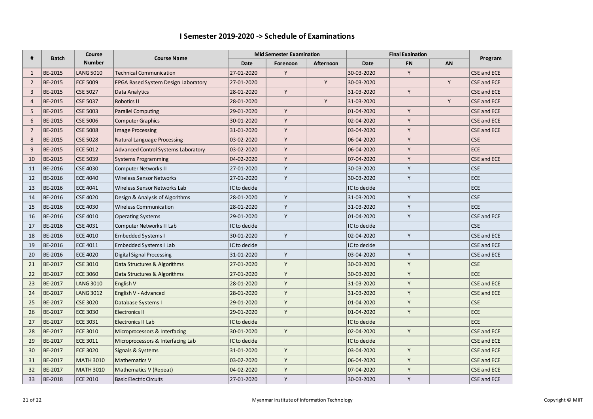#### **I Semester 2019-2020 -> Schedule of Examinations**

| #              | <b>Batch</b> | Course           | <b>Course Name</b>                         |              | <b>Mid Semester Examination</b> |           | <b>Final Exaination</b> | Program   |    |                    |
|----------------|--------------|------------------|--------------------------------------------|--------------|---------------------------------|-----------|-------------------------|-----------|----|--------------------|
|                |              | <b>Number</b>    |                                            | Date         | Forenoon                        | Afternoon | Date                    | <b>FN</b> | AN |                    |
| $\mathbf{1}$   | BE-2015      | <b>LANG 5010</b> | <b>Technical Communication</b>             | 27-01-2020   | Y                               |           | 30-03-2020              | Y         |    | CSE and ECE        |
| $\overline{2}$ | BE-2015      | <b>ECE 5009</b>  | FPGA Based System Design Laboratory        | 27-01-2020   |                                 | Y         | 30-03-2020              |           | Y  | <b>CSE and ECE</b> |
| 3              | BE-2015      | <b>CSE 5027</b>  | Data Analytics                             | 28-01-2020   | Y                               |           | 31-03-2020              | Y         |    | <b>CSE and ECE</b> |
| $\overline{4}$ | BE-2015      | <b>CSE 5037</b>  | Robotics II                                | 28-01-2020   |                                 | Y         | 31-03-2020              |           | Y  | <b>CSE and ECE</b> |
| 5              | BE-2015      | <b>CSE 5003</b>  | <b>Parallel Computing</b>                  | 29-01-2020   | Y                               |           | 01-04-2020              | Y         |    | <b>CSE and ECE</b> |
| 6              | BE-2015      | <b>CSE 5006</b>  | <b>Computer Graphics</b>                   | 30-01-2020   | Y                               |           | 02-04-2020              | Y         |    | <b>CSE and ECE</b> |
| $\overline{7}$ | BE-2015      | <b>CSE 5008</b>  | <b>Image Processing</b>                    | 31-01-2020   | Y                               |           | 03-04-2020              | Y         |    | <b>CSE and ECE</b> |
| 8              | BE-2015      | <b>CSE 5028</b>  | <b>Natural Language Processing</b>         | 03-02-2020   | Y                               |           | 06-04-2020              | Y         |    | <b>CSE</b>         |
| 9              | BE-2015      | <b>ECE 5012</b>  | <b>Advanced Control Systems Laboratory</b> | 03-02-2020   | Y                               |           | 06-04-2020              | Y         |    | <b>ECE</b>         |
| 10             | BE-2015      | <b>CSE 5039</b>  | <b>Systems Programming</b>                 | 04-02-2020   | Y                               |           | 07-04-2020              | Y         |    | <b>CSE and ECE</b> |
| 11             | BE-2016      | <b>CSE 4030</b>  | <b>Computer Networks II</b>                | 27-01-2020   | Y                               |           | 30-03-2020              | Υ         |    | <b>CSE</b>         |
| 12             | BE-2016      | <b>ECE 4040</b>  | Wireless Sensor Networks                   | 27-01-2020   | Y                               |           | 30-03-2020              | Y         |    | <b>ECE</b>         |
| 13             | BE-2016      | <b>ECE 4041</b>  | Wireless Sensor Networks Lab               | IC to decide |                                 |           | IC to decide            |           |    | <b>ECE</b>         |
| 14             | BE-2016      | <b>CSE 4020</b>  | Design & Analysis of Algorithms            | 28-01-2020   | Y                               |           | 31-03-2020              | Y         |    | <b>CSE</b>         |
| 15             | BE-2016      | <b>ECE 4030</b>  | Wireless Communication                     | 28-01-2020   | Y                               |           | 31-03-2020              | Y         |    | <b>ECE</b>         |
| 16             | BE-2016      | <b>CSE 4010</b>  | <b>Operating Systems</b>                   | 29-01-2020   | Y                               |           | 01-04-2020              | Y         |    | CSE and ECE        |
| 17             | BE-2016      | <b>CSE 4031</b>  | Computer Networks II Lab                   | IC to decide |                                 |           | IC to decide            |           |    | <b>CSE</b>         |
| 18             | BE-2016      | <b>ECE 4010</b>  | Embedded Systems I                         | 30-01-2020   | Y                               |           | 02-04-2020              | Υ         |    | CSE and ECE        |
| 19             | BE-2016      | ECE 4011         | Embedded Systems I Lab                     | IC to decide |                                 |           | IC to decide            |           |    | CSE and ECE        |
| 20             | BE-2016      | <b>ECE 4020</b>  | <b>Digital Signal Processing</b>           | 31-01-2020   | Y                               |           | 03-04-2020              | Υ         |    | CSE and ECE        |
| 21             | BE-2017      | <b>CSE 3010</b>  | Data Structures & Algorithms               | 27-01-2020   | Y                               |           | 30-03-2020              | Y         |    | <b>CSE</b>         |
| 22             | BE-2017      | <b>ECE 3060</b>  | Data Structures & Algorithms               | 27-01-2020   | Y                               |           | 30-03-2020              | Y         |    | <b>ECE</b>         |
| 23             | BE-2017      | <b>LANG 3010</b> | English V                                  | 28-01-2020   | Y                               |           | 31-03-2020              | Y         |    | <b>CSE and ECE</b> |
| 24             | BE-2017      | <b>LANG 3012</b> | English V - Advanced                       | 28-01-2020   | Y                               |           | 31-03-2020              | Y         |    | <b>CSE and ECE</b> |
| 25             | BE-2017      | <b>CSE 3020</b>  | Database Systems I                         | 29-01-2020   | Y                               |           | 01-04-2020              | Y         |    | <b>CSE</b>         |
| 26             | BE-2017      | <b>ECE 3030</b>  | <b>Electronics II</b>                      | 29-01-2020   | Y                               |           | 01-04-2020              | Y         |    | <b>ECE</b>         |
| 27             | BE-2017      | <b>ECE 3031</b>  | <b>Electronics II Lab</b>                  | IC to decide |                                 |           | IC to decide            |           |    | <b>ECE</b>         |
| 28             | BE-2017      | <b>ECE 3010</b>  | Microprocessors & Interfacing              | 30-01-2020   | Y                               |           | 02-04-2020              | Y         |    | <b>CSE and ECE</b> |
| 29             | BE-2017      | <b>ECE 3011</b>  | Microprocessors & Interfacing Lab          | IC to decide |                                 |           | IC to decide            |           |    | <b>CSE and ECE</b> |
| 30             | BE-2017      | <b>ECE 3020</b>  | Signals & Systems                          | 31-01-2020   | Y                               |           | 03-04-2020              | Y         |    | CSE and ECE        |
| 31             | BE-2017      | <b>MATH 3010</b> | <b>Mathematics V</b>                       | 03-02-2020   | Y                               |           | 06-04-2020              | Y         |    | CSE and ECE        |
| 32             | BE-2017      | <b>MATH 3010</b> | Mathematics V (Repeat)                     | 04-02-2020   | Y                               |           | 07-04-2020              | Y         |    | <b>CSE and ECE</b> |
| 33             | BE-2018      | <b>ECE 2010</b>  | <b>Basic Electric Circuits</b>             | 27-01-2020   | Y                               |           | 30-03-2020              | Y         |    | CSE and ECE        |